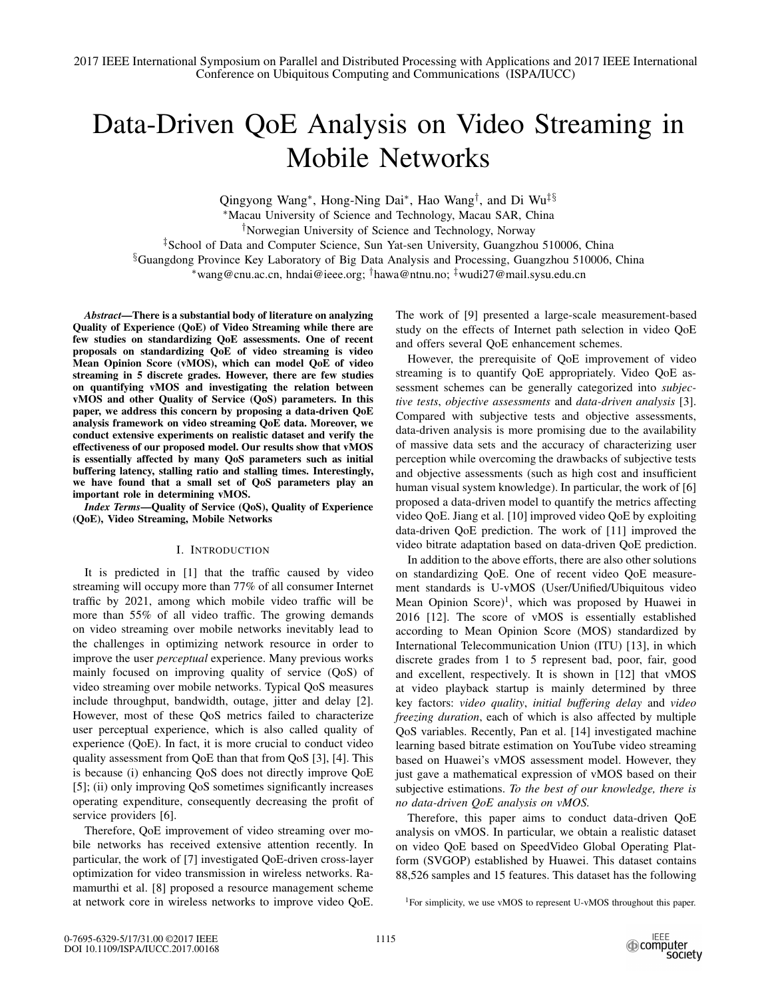# Data-Driven QoE Analysis on Video Streaming in Mobile Networks

Qingyong Wang∗, Hong-Ning Dai∗, Hao Wang†, and Di Wu‡§ <sup>∗</sup>Macau University of Science and Technology, Macau SAR, China †Norwegian University of Science and Technology, Norway ‡School of Data and Computer Science, Sun Yat-sen University, Guangzhou 510006, China §Guangdong Province Key Laboratory of Big Data Analysis and Processing, Guangzhou 510006, China <sup>∗</sup>wang@cnu.ac.cn, hndai@ieee.org; †hawa@ntnu.no; ‡wudi27@mail.sysu.edu.cn

*Abstract*—There is a substantial body of literature on analyzing Quality of Experience (QoE) of Video Streaming while there are few studies on standardizing QoE assessments. One of recent proposals on standardizing QoE of video streaming is video Mean Opinion Score (vMOS), which can model QoE of video streaming in 5 discrete grades. However, there are few studies on quantifying vMOS and investigating the relation between vMOS and other Quality of Service (QoS) parameters. In this paper, we address this concern by proposing a data-driven QoE analysis framework on video streaming QoE data. Moreover, we conduct extensive experiments on realistic dataset and verify the effectiveness of our proposed model. Our results show that vMOS is essentially affected by many QoS parameters such as initial buffering latency, stalling ratio and stalling times. Interestingly, we have found that a small set of QoS parameters play an important role in determining vMOS.

*Index Terms*—Quality of Service (QoS), Quality of Experience (QoE), Video Streaming, Mobile Networks

# I. INTRODUCTION

It is predicted in [1] that the traffic caused by video streaming will occupy more than 77% of all consumer Internet traffic by 2021, among which mobile video traffic will be more than 55% of all video traffic. The growing demands on video streaming over mobile networks inevitably lead to the challenges in optimizing network resource in order to improve the user *perceptual* experience. Many previous works mainly focused on improving quality of service (QoS) of video streaming over mobile networks. Typical QoS measures include throughput, bandwidth, outage, jitter and delay [2]. However, most of these QoS metrics failed to characterize user perceptual experience, which is also called quality of experience (QoE). In fact, it is more crucial to conduct video quality assessment from QoE than that from QoS [3], [4]. This is because (i) enhancing QoS does not directly improve QoE [5]; (ii) only improving QoS sometimes significantly increases operating expenditure, consequently decreasing the profit of service providers [6].

Therefore, QoE improvement of video streaming over mobile networks has received extensive attention recently. In particular, the work of [7] investigated QoE-driven cross-layer optimization for video transmission in wireless networks. Ramamurthi et al. [8] proposed a resource management scheme at network core in wireless networks to improve video QoE. The work of [9] presented a large-scale measurement-based study on the effects of Internet path selection in video QoE and offers several QoE enhancement schemes.

However, the prerequisite of QoE improvement of video streaming is to quantify QoE appropriately. Video QoE assessment schemes can be generally categorized into *subjective tests*, *objective assessments* and *data-driven analysis* [3]. Compared with subjective tests and objective assessments, data-driven analysis is more promising due to the availability of massive data sets and the accuracy of characterizing user perception while overcoming the drawbacks of subjective tests and objective assessments (such as high cost and insufficient human visual system knowledge). In particular, the work of [6] proposed a data-driven model to quantify the metrics affecting video QoE. Jiang et al. [10] improved video QoE by exploiting data-driven QoE prediction. The work of [11] improved the video bitrate adaptation based on data-driven QoE prediction.

In addition to the above efforts, there are also other solutions on standardizing QoE. One of recent video QoE measurement standards is U-vMOS (User/Unified/Ubiquitous video Mean Opinion Score)<sup>1</sup>, which was proposed by Huawei in 2016 [12]. The score of vMOS is essentially established according to Mean Opinion Score (MOS) standardized by International Telecommunication Union (ITU) [13], in which discrete grades from 1 to 5 represent bad, poor, fair, good and excellent, respectively. It is shown in [12] that vMOS at video playback startup is mainly determined by three key factors: *video quality*, *initial buffering delay* and *video freezing duration*, each of which is also affected by multiple QoS variables. Recently, Pan et al. [14] investigated machine learning based bitrate estimation on YouTube video streaming based on Huawei's vMOS assessment model. However, they just gave a mathematical expression of vMOS based on their subjective estimations. *To the best of our knowledge, there is no data-driven QoE analysis on vMOS.*

Therefore, this paper aims to conduct data-driven QoE analysis on vMOS. In particular, we obtain a realistic dataset on video QoE based on SpeedVideo Global Operating Platform (SVGOP) established by Huawei. This dataset contains 88,526 samples and 15 features. This dataset has the following

<sup>&</sup>lt;sup>1</sup>For simplicity, we use vMOS to represent U-vMOS throughout this paper.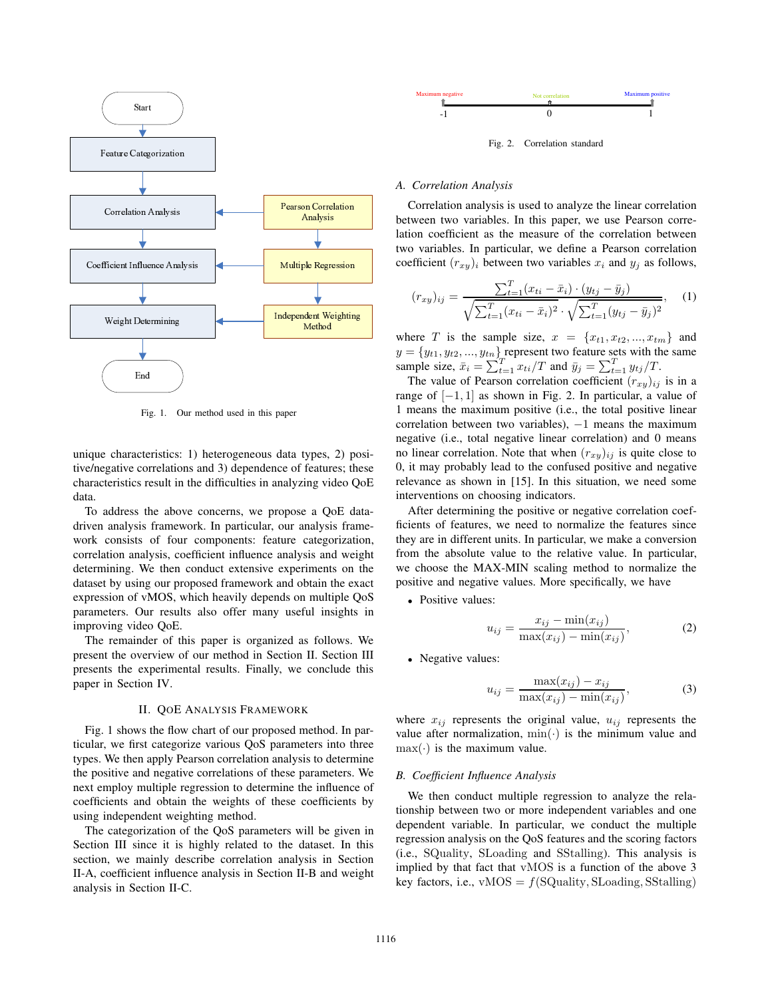

Fig. 1. Our method used in this paper

unique characteristics: 1) heterogeneous data types, 2) positive/negative correlations and 3) dependence of features; these characteristics result in the difficulties in analyzing video QoE data.

To address the above concerns, we propose a QoE datadriven analysis framework. In particular, our analysis framework consists of four components: feature categorization, correlation analysis, coefficient influence analysis and weight determining. We then conduct extensive experiments on the dataset by using our proposed framework and obtain the exact expression of vMOS, which heavily depends on multiple QoS parameters. Our results also offer many useful insights in improving video QoE.

The remainder of this paper is organized as follows. We present the overview of our method in Section II. Section III presents the experimental results. Finally, we conclude this paper in Section IV.

### II. QOE ANALYSIS FRAMEWORK

Fig. 1 shows the flow chart of our proposed method. In particular, we first categorize various QoS parameters into three types. We then apply Pearson correlation analysis to determine the positive and negative correlations of these parameters. We next employ multiple regression to determine the influence of coefficients and obtain the weights of these coefficients by using independent weighting method.

The categorization of the QoS parameters will be given in Section III since it is highly related to the dataset. In this section, we mainly describe correlation analysis in Section II-A, coefficient influence analysis in Section II-B and weight analysis in Section II-C.



Fig. 2. Correlation standard

#### *A. Correlation Analysis*

coefficient  $(r_{xy})_i$  between two variables  $x_i$  and  $y_j$  as follows, Correlation analysis is used to analyze the linear correlation between two variables. In this paper, we use Pearson correlation coefficient as the measure of the correlation between two variables. In particular, we define a Pearson correlation

$$
(r_{xy})_{ij} = \frac{\sum_{t=1}^{T} (x_{ti} - \bar{x}_i) \cdot (y_{tj} - \bar{y}_j)}{\sqrt{\sum_{t=1}^{T} (x_{ti} - \bar{x}_i)^2} \cdot \sqrt{\sum_{t=1}^{T} (y_{tj} - \bar{y}_j)^2}},
$$
 (1)

where T is the sample size,  $x = \{x_{t1}, x_{t2}, ..., x_{tm}\}\$ and  $y = \{y_{t1}, y_{t2}, ..., y_{tn}\}\)$  represent two feature sets with the same sample size,  $\bar{x}_i = \sum_{t=1}^T x_{ti}/T$  and  $\bar{y}_j = \sum_{t=1}^T y_{tj}/T$ .

The value of Pearson correlation coefficient  $(r_{xy})_{ij}$  is in a range of  $[-1, 1]$  as shown in Fig. 2. In particular, a value of 1 means the maximum positive (i.e., the total positive linear correlation between two variables),  $-1$  means the maximum negative (i.e., total negative linear correlation) and 0 means no linear correlation. Note that when  $(r_{xy})_{ij}$  is quite close to 0, it may probably lead to the confused positive and negative relevance as shown in [15]. In this situation, we need some interventions on choosing indicators.

After determining the positive or negative correlation coefficients of features, we need to normalize the features since they are in different units. In particular, we make a conversion from the absolute value to the relative value. In particular, we choose the MAX-MIN scaling method to normalize the positive and negative values. More specifically, we have

• Positive values:

$$
u_{ij} = \frac{x_{ij} - \min(x_{ij})}{\max(x_{ij}) - \min(x_{ij})},\tag{2}
$$

• Negative values:

$$
u_{ij} = \frac{\max(x_{ij}) - x_{ij}}{\max(x_{ij}) - \min(x_{ij})},\tag{3}
$$

where  $x_{ij}$  represents the original value,  $u_{ij}$  represents the value after normalization,  $\min(\cdot)$  is the minimum value and  $max(\cdot)$  is the maximum value.

## *B. Coefficient Influence Analysis*

We then conduct multiple regression to analyze the relationship between two or more independent variables and one dependent variable. In particular, we conduct the multiple regression analysis on the QoS features and the scoring factors (i.e., SQuality, SLoading and SStalling). This analysis is implied by that fact that vMOS is a function of the above 3 key factors, i.e.,  $vMOS = f(SQuality, SLoading, SStalling)$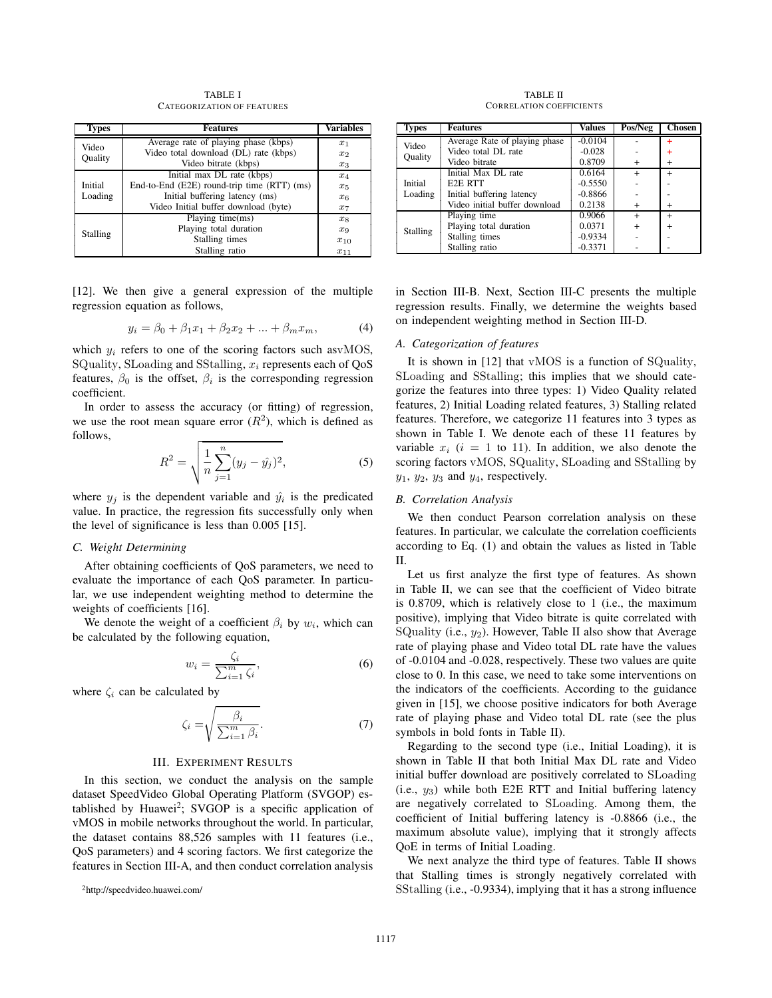TABLE I CATEGORIZATION OF FEATURES

| <b>Types</b>     | <b>Features</b>                             | Variables |
|------------------|---------------------------------------------|-----------|
| Video<br>Quality | Average rate of playing phase (kbps)        | $x_1$     |
|                  | Video total download (DL) rate (kbps)       | $x_2$     |
|                  | Video bitrate (kbps)                        | $x_3$     |
|                  | Initial max DL rate (kbps)                  | $x_4$     |
| Initial          | End-to-End (E2E) round-trip time (RTT) (ms) | $x_5$     |
| Loading          | Initial buffering latency (ms)              | $x_6$     |
|                  | Video Initial buffer download (byte)        | $x_7$     |
|                  | Playing time(ms)                            | $x_8$     |
| Stalling         | Playing total duration                      | $x_{9}$   |
|                  | Stalling times                              | $x_{10}$  |
|                  | Stalling ratio                              | $x_{11}$  |

[12]. We then give a general expression of the multiple regression equation as follows,

$$
y_i = \beta_0 + \beta_1 x_1 + \beta_2 x_2 + \dots + \beta_m x_m,
$$
 (4)

which  $y_i$  refers to one of the scoring factors such asvMOS, SQuality, SLoading and SStalling,  $x_i$  represents each of QoS features,  $\beta_0$  is the offset,  $\beta_i$  is the corresponding regression coefficient.

In order to assess the accuracy (or fitting) of regression, we use the root mean square error  $(R<sup>2</sup>)$ , which is defined as follows,

$$
R^{2} = \sqrt{\frac{1}{n} \sum_{j=1}^{n} (y_{j} - \hat{y}_{j})^{2}},
$$
\n(5)

where  $y_j$  is the dependent variable and  $\hat{y}_i$  is the predicated value. In practice, the regression fits successfully only when the level of significance is less than 0.005 [15].

#### *C. Weight Determining*

After obtaining coefficients of QoS parameters, we need to evaluate the importance of each QoS parameter. In particular, we use independent weighting method to determine the weights of coefficients [16].

We denote the weight of a coefficient  $\beta_i$  by  $w_i$ , which can be calculated by the following equation,

$$
w_i = \frac{\zeta_i}{\sum_{i=1}^m \zeta_i},\tag{6}
$$

where  $\zeta_i$  can be calculated by

$$
\zeta_i = \sqrt{\frac{\beta_i}{\sum_{i=1}^m \beta_i}}.\tag{7}
$$

#### III. EXPERIMENT RESULTS

In this section, we conduct the analysis on the sample dataset SpeedVideo Global Operating Platform (SVGOP) established by Huawei<sup>2</sup>; SVGOP is a specific application of vMOS in mobile networks throughout the world. In particular, the dataset contains 88,526 samples with 11 features (i.e., QoS parameters) and 4 scoring factors. We first categorize the features in Section III-A, and then conduct correlation analysis

TABLE II CORRELATION COEFFICIENTS

| <b>Types</b>     | <b>Features</b>               | <b>Values</b> | Pos/Neg   | Chosen    |
|------------------|-------------------------------|---------------|-----------|-----------|
| Video<br>Quality | Average Rate of playing phase | $-0.0104$     |           | 4         |
|                  | Video total DL rate           | $-0.028$      |           | ٠         |
|                  | Video bitrate                 | 0.8709        | $\div$    | $\div$    |
|                  | Initial Max DL rate           | 0.6164        |           | $\div$    |
| Initial          | E <sub>2</sub> E RTT          | $-0.5550$     |           |           |
| Loading          | Initial buffering latency     | $-0.8866$     |           |           |
|                  | Video initial buffer download | 0.2138        | $\ddot{}$ | $\div$    |
| <b>Stalling</b>  | Playing time                  | 0.9066        | $\ddot{}$ | $\ddot{}$ |
|                  | Playing total duration        | 0.0371        |           |           |
|                  | Stalling times                | $-0.9334$     |           |           |
|                  | Stalling ratio                | $-0.3371$     |           |           |

in Section III-B. Next, Section III-C presents the multiple regression results. Finally, we determine the weights based on independent weighting method in Section III-D.

# *A. Categorization of features*

It is shown in [12] that vMOS is a function of SQuality, SLoading and SStalling; this implies that we should categorize the features into three types: 1) Video Quality related features, 2) Initial Loading related features, 3) Stalling related features. Therefore, we categorize 11 features into 3 types as shown in Table I. We denote each of these 11 features by variable  $x_i$  ( $i = 1$  to 11). In addition, we also denote the scoring factors vMOS, SQuality, SLoading and SStalling by  $y_1$ ,  $y_2$ ,  $y_3$  and  $y_4$ , respectively.

# *B. Correlation Analysis*

We then conduct Pearson correlation analysis on these features. In particular, we calculate the correlation coefficients according to Eq. (1) and obtain the values as listed in Table II.

Let us first analyze the first type of features. As shown in Table II, we can see that the coefficient of Video bitrate is 0.8709, which is relatively close to 1 (i.e., the maximum positive), implying that Video bitrate is quite correlated with SQuality (i.e.,  $y_2$ ). However, Table II also show that Average rate of playing phase and Video total DL rate have the values of -0.0104 and -0.028, respectively. These two values are quite close to 0. In this case, we need to take some interventions on the indicators of the coefficients. According to the guidance given in [15], we choose positive indicators for both Average rate of playing phase and Video total DL rate (see the plus symbols in bold fonts in Table II).

Regarding to the second type (i.e., Initial Loading), it is shown in Table II that both Initial Max DL rate and Video initial buffer download are positively correlated to SLoading  $(i.e., y_3)$  while both E2E RTT and Initial buffering latency are negatively correlated to SLoading. Among them, the coefficient of Initial buffering latency is -0.8866 (i.e., the maximum absolute value), implying that it strongly affects QoE in terms of Initial Loading.

We next analyze the third type of features. Table II shows that Stalling times is strongly negatively correlated with SStalling (i.e., -0.9334), implying that it has a strong influence

<sup>2</sup>http://speedvideo.huawei.com/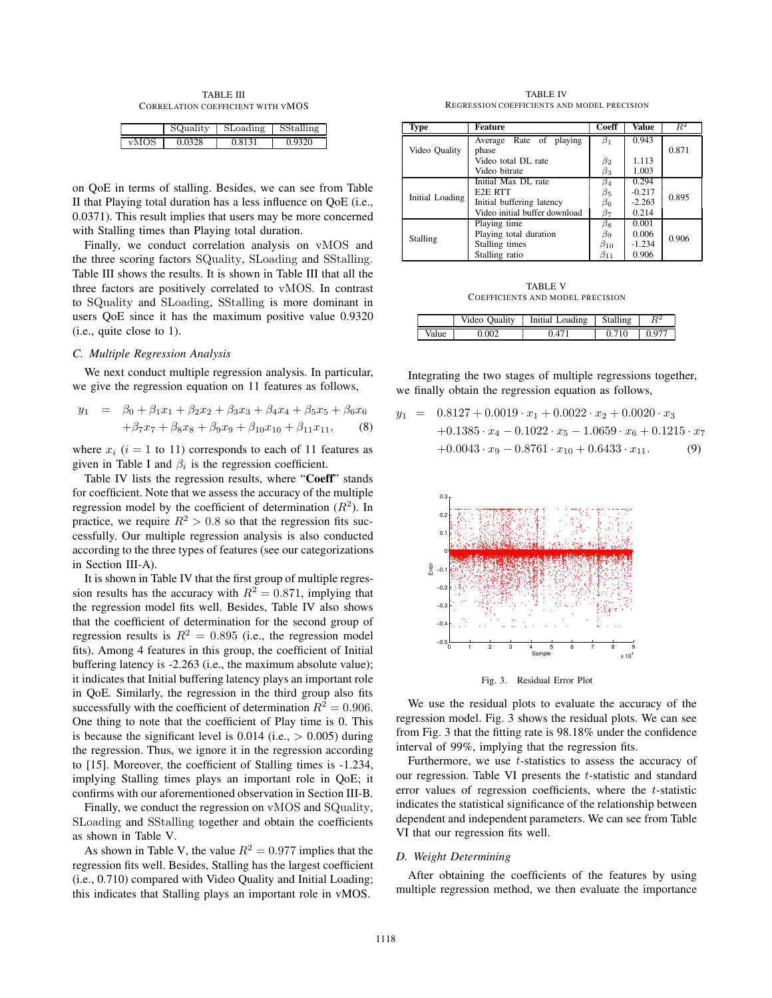TABLE III CORRELATION COEFFICIENT WITH VMOS

|                    | SQuality | SLoading | $n\sigma$<br>١tа |
|--------------------|----------|----------|------------------|
| $\mathbf{v}$<br>IV |          | 0.81     |                  |

on QoE in terms of stalling. Besides, we can see from Table II that Playing total duration has a less influence on QoE (i.e., 0.0371). This result implies that users may be more concerned with Stalling times than Playing total duration.

Finally, we conduct correlation analysis on vMOS and the three scoring factors SQuality, SLoading and SStalling. Table III shows the results. It is shown in Table III that all the three factors are positively correlated to vMOS. In contrast to SQuality and SLoading, SStalling is more dominant in users QoE since it has the maximum positive value 0.9320 (i.e., quite close to 1).

# *C. Multiple Regression Analysis*

We next conduct multiple regression analysis. In particular, we give the regression equation on 11 features as follows,

$$
y_1 = \beta_0 + \beta_1 x_1 + \beta_2 x_2 + \beta_3 x_3 + \beta_4 x_4 + \beta_5 x_5 + \beta_6 x_6
$$
  
+  $\beta_7 x_7 + \beta_8 x_8 + \beta_9 x_9 + \beta_{10} x_{10} + \beta_{11} x_{11}$ , (8)

where  $x_i$  ( $i = 1$  to 11) corresponds to each of 11 features as given in Table I and  $\beta_i$  is the regression coefficient.

Table IV lists the regression results, where "Coeff" stands for coefficient. Note that we assess the accuracy of the multiple regression model by the coefficient of determination  $(R<sup>2</sup>)$ . In practice, we require  $R^2 > 0.8$  so that the regression fits successfully. Our multiple regression analysis is also conducted according to the three types of features (see our categorizations in Section III-A).

It is shown in Table IV that the first group of multiple regression results has the accuracy with  $R^2 = 0.871$ , implying that the regression model fits well. Besides, Table IV also shows that the coefficient of determination for the second group of regression results is  $R^2 = 0.895$  (i.e., the regression model fits). Among 4 features in this group, the coefficient of Initial buffering latency is -2.263 (i.e., the maximum absolute value); it indicates that Initial buffering latency plays an important role in QoE. Similarly, the regression in the third group also fits successfully with the coefficient of determination  $R^2 = 0.906$ . One thing to note that the coefficient of Play time is 0. This is because the significant level is  $0.014$  (i.e.,  $> 0.005$ ) during the regression. Thus, we ignore it in the regression according to [15]. Moreover, the coefficient of Stalling times is -1.234, implying Stalling times plays an important role in QoE; it confirms with our aforementioned observation in Section III-B.

Finally, we conduct the regression on vMOS and SQuality, SLoading and SStalling together and obtain the coefficients as shown in Table V.

As shown in Table V, the value  $R^2 = 0.977$  implies that the regression fits well. Besides, Stalling has the largest coefficient (i.e., 0.710) compared with Video Quality and Initial Loading; this indicates that Stalling plays an important role in vMOS.

TABLE IV REGRESSION COEFFICIENTS AND MODEL PRECISION

| Type            | Feature                       | Coeff        | <b>Value</b> | $R^2$ |  |
|-----------------|-------------------------------|--------------|--------------|-------|--|
|                 | Rate of playing<br>Average    | $\beta_1$    | 0.943        |       |  |
| Video Quality   | phase                         |              |              | 0.871 |  |
|                 | Video total DL rate           | $\beta_2$    | 1.113        |       |  |
|                 | Video bitrate                 | $\beta_3$    | 1.003        |       |  |
|                 | Initial Max DL rate           | $\beta_4$    | 0.294        |       |  |
| Initial Loading | E <sub>2</sub> E RTT          | $\beta_5$    | $-0.217$     | 0.895 |  |
|                 | Initial buffering latency     | $\beta_6$    | $-2.263$     |       |  |
|                 | Video initial buffer download | β7           | 0.214        |       |  |
| Stalling        | Playing time                  | $\beta_8$    | 0.001        |       |  |
|                 | Playing total duration        | 0.006<br>βg  |              | 0.906 |  |
|                 | Stalling times                | $\beta_{10}$ | $-1.234$     |       |  |
|                 | Stalling ratio                | $\beta_{11}$ | 0.906        |       |  |

TABLE V COEFFICIENTS AND MODEL PRECISION

|      | Ouality | Loading<br>Initial | Stalling |    |
|------|---------|--------------------|----------|----|
| alue | (KY)    | $\varDelta'$       | 710      | u. |

Integrating the two stages of multiple regressions together, we finally obtain the regression equation as follows,

$$
y_1 = 0.8127 + 0.0019 \cdot x_1 + 0.0022 \cdot x_2 + 0.0020 \cdot x_3
$$
  
+0.1385 \cdot x\_4 - 0.1022 \cdot x\_5 - 1.0659 \cdot x\_6 + 0.1215 \cdot x\_7  
+0.0043 \cdot x\_9 - 0.8761 \cdot x\_{10} + 0.6433 \cdot x\_{11}. (9)



Fig. 3. Residual Error Plot

We use the residual plots to evaluate the accuracy of the regression model. Fig. 3 shows the residual plots. We can see from Fig. 3 that the fitting rate is 98.18% under the confidence interval of 99%, implying that the regression fits.

Furthermore, we use t-statistics to assess the accuracy of our regression. Table VI presents the t-statistic and standard error values of regression coefficients, where the  $t$ -statistic indicates the statistical significance of the relationship between dependent and independent parameters. We can see from Table VI that our regression fits well.

#### *D. Weight Determining*

After obtaining the coefficients of the features by using multiple regression method, we then evaluate the importance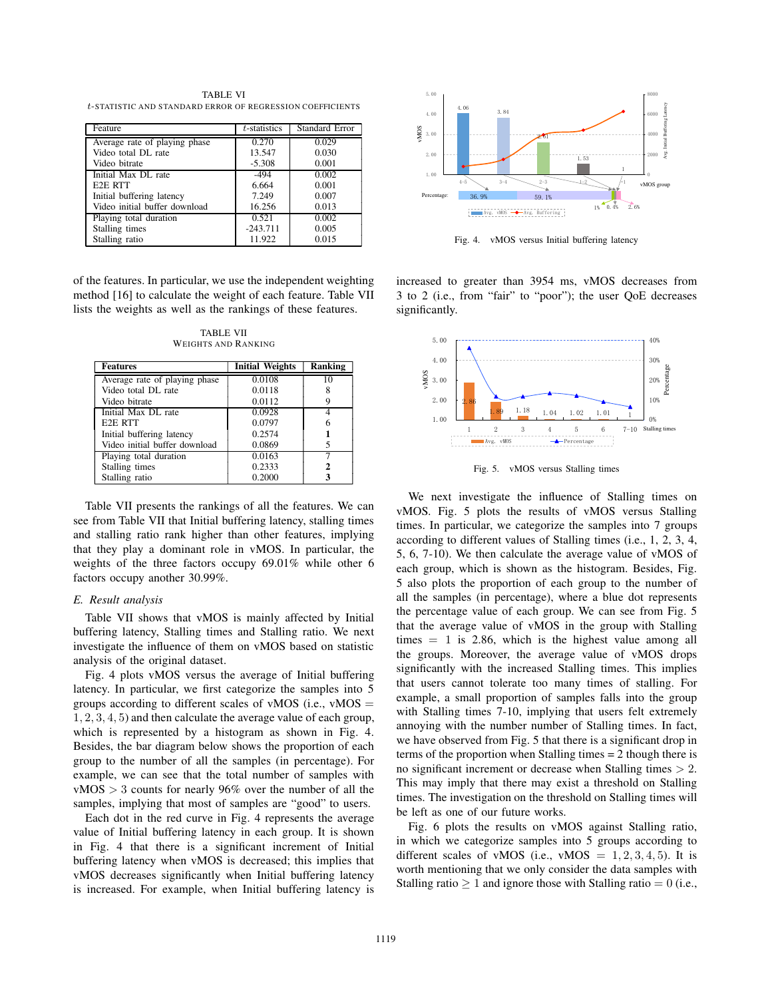TABLE VI t-STATISTIC AND STANDARD ERROR OF REGRESS ION COEFFICIENTS

| Feature                       | $t$ -statistics | <b>Standard Error</b> |
|-------------------------------|-----------------|-----------------------|
| Average rate of playing phase | 0.270           | 0.029                 |
| Video total DL rate           | 13.547          | 0.030                 |
| Video bitrate                 | $-5.308$        | 0.001                 |
| Initial Max DL rate           | $-494$          | 0.002                 |
| E <sub>2</sub> E RTT          | 6.664           | 0.001                 |
| Initial buffering latency     | 7.249           | 0.007                 |
| Video initial buffer download | 16.256          | 0.013                 |
| Playing total duration        | 0.521           | 0.002                 |
| Stalling times                | $-243.711$      | 0.005                 |
| Stalling ratio                | 11.922          | 0.015                 |

of the features. In particular, we use the independent weighting method [16] to calculate the weight of each feature. Table VII lists the weights as well as the rankings of these features.

TABLE VII WEIGHTS AND RANKING

| <b>Features</b>               | <b>Initial Weights</b> | Ranking |
|-------------------------------|------------------------|---------|
| Average rate of playing phase | 0.0108                 | 10      |
| Video total DL rate           | 0.0118                 |         |
| Video bitrate                 | 0.0112                 |         |
| Initial Max DL rate           | 0.0928                 |         |
| E <sub>2</sub> E RTT          | 0.0797                 |         |
| Initial buffering latency     | 0.2574                 |         |
| Video initial buffer download | 0.0869                 |         |
| Playing total duration        | 0.0163                 |         |
| Stalling times                | 0.2333                 |         |
| Stalling ratio                | 0.2000                 |         |

Table VII presents the rankings of all the features. We can see from Table VII that Initial buffering latency, stalling times and stalling ratio rank higher than other features, implying that they play a dominant role in vMOS. In particular, the weights of the three factors occupy 69.01% while other 6 factors occupy another 30.99%.

### *E. Result analysis*

Table VII shows that vMOS is mainly affected by Initial buffering latency, Stalling times and Stalling ratio. We next investigate the influence of them on vMOS based on statistic analysis of the original dataset.

Fig. 4 plots vMOS versus the average of Initial buffering latency. In particular, we first categorize the samples into 5 groups according to different scales of vMOS (i.e.,  $vMOS$ ) 1, 2, 3, 4, 5) and then calculate the average value of each group, which is represented by a histogram as shown in Fig. 4. Besides, the bar diagram below shows the proportion of each group to the number of all the samples (in percentage). For example, we can see that the total number of samples with vMOS > 3 counts for nearly 96% over the number of all the samples, implying that most of samples are "good" to users.

Each dot in the red curve in Fig. 4 represents the average value of Initial buffering latency in each group. It is shown in Fig. 4 that there is a significant increment of Initial buffering latency when vMOS is decreased; this implies that vMOS decreases significantly when Initial buffering latency is increased. For example, when Initial buffering latency is



Fig. 4. vMOS versus Initial buffering latency

increased to greater than 3954 ms, vMOS decreases from 3 to 2 (i.e., from "fair" to "poor"); the user QoE decreases significantly.



Fig. 5. vMOS versus Stalling times

We next investigate the influence of Stalling times on vMOS. Fig. 5 plots the results of vMOS versus Stalling times. In particular, we categorize the samples into 7 groups according to different values of Stalling times (i.e., 1, 2, 3, 4, 5, 6, 7-10). We then calculate the average value of vMOS of each group, which is shown as the histogram. Besides, Fig. 5 also plots the proportion of each group to the number of all the samples (in percentage), where a blue dot represents the percentage value of each group. We can see from Fig. 5 that the average value of vMOS in the group with Stalling times  $= 1$  is 2.86, which is the highest value among all the groups. Moreover, the average value of vMOS drops significantly with the increased Stalling times. This implies that users cannot tolerate too many times of stalling. For example, a small proportion of samples falls into the group with Stalling times 7-10, implying that users felt extremely annoying with the number number of Stalling times. In fact, we have observed from Fig. 5 that there is a significant drop in terms of the proportion when Stalling times = 2 though there is no significant increment or decrease when Stalling times > 2. This may imply that there may exist a threshold on Stalling times. The investigation on the threshold on Stalling times will be left as one of our future works.

Fig. 6 plots the results on vMOS against Stalling ratio, in which we categorize samples into 5 groups according to different scales of vMOS (i.e., vMOS =  $1, 2, 3, 4, 5$ ). It is worth mentioning that we only consider the data samples with Stalling ratio  $\geq 1$  and ignore those with Stalling ratio = 0 (i.e.,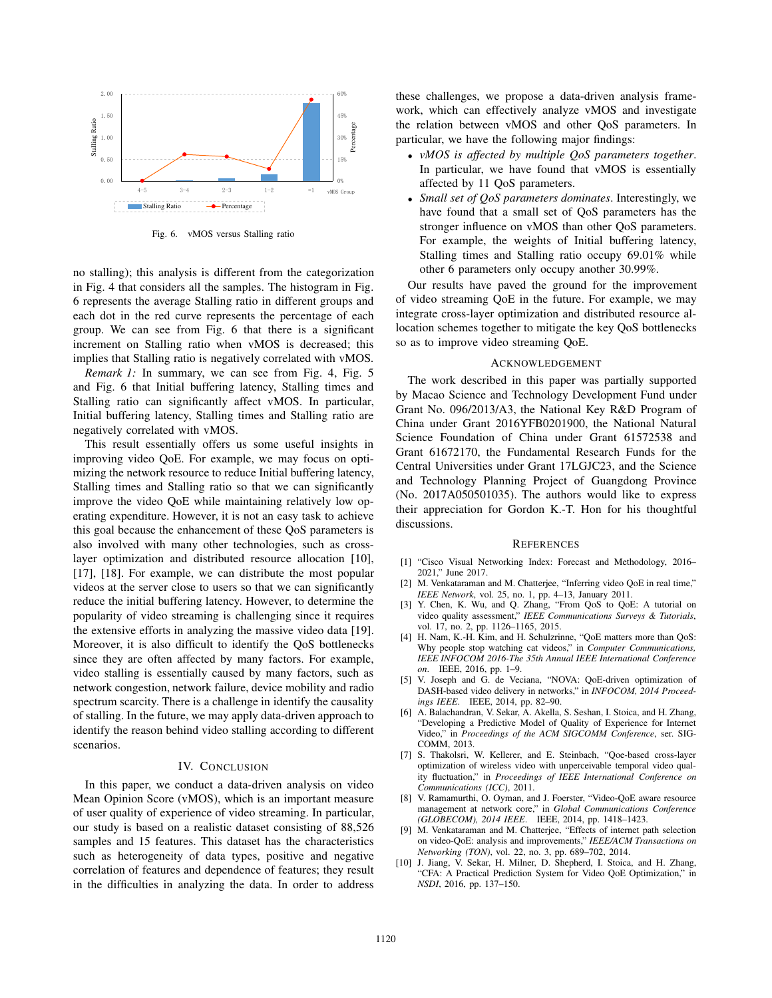

Fig. 6. vMOS versus Stalling ratio

no stalling); this analysis is different from the categorization in Fig. 4 that considers all the samples. The histogram in Fig. 6 represents the average Stalling ratio in different groups and each dot in the red curve represents the percentage of each group. We can see from Fig. 6 that there is a significant increment on Stalling ratio when vMOS is decreased; this implies that Stalling ratio is negatively correlated with vMOS.

*Remark 1:* In summary, we can see from Fig. 4, Fig. 5 and Fig. 6 that Initial buffering latency, Stalling times and Stalling ratio can significantly affect vMOS. In particular, Initial buffering latency, Stalling times and Stalling ratio are negatively correlated with vMOS.

This result essentially offers us some useful insights in improving video QoE. For example, we may focus on optimizing the network resource to reduce Initial buffering latency, Stalling times and Stalling ratio so that we can significantly improve the video QoE while maintaining relatively low operating expenditure. However, it is not an easy task to achieve this goal because the enhancement of these QoS parameters is also involved with many other technologies, such as crosslayer optimization and distributed resource allocation [10], [17], [18]. For example, we can distribute the most popular videos at the server close to users so that we can significantly reduce the initial buffering latency. However, to determine the popularity of video streaming is challenging since it requires the extensive efforts in analyzing the massive video data [19]. Moreover, it is also difficult to identify the QoS bottlenecks since they are often affected by many factors. For example, video stalling is essentially caused by many factors, such as network congestion, network failure, device mobility and radio spectrum scarcity. There is a challenge in identify the causality of stalling. In the future, we may apply data-driven approach to identify the reason behind video stalling according to different scenarios.

# IV. CONCLUSION

In this paper, we conduct a data-driven analysis on video Mean Opinion Score (vMOS), which is an important measure of user quality of experience of video streaming. In particular, our study is based on a realistic dataset consisting of 88,526 samples and 15 features. This dataset has the characteristics such as heterogeneity of data types, positive and negative correlation of features and dependence of features; they result in the difficulties in analyzing the data. In order to address these challenges, we propose a data-driven analysis framework, which can effectively analyze vMOS and investigate the relation between vMOS and other QoS parameters. In particular, we have the following major findings:

- *vMOS is affected by multiple QoS parameters together*. In particular, we have found that vMOS is essentially affected by 11 QoS parameters.
- *Small set of QoS parameters dominates*. Interestingly, we have found that a small set of QoS parameters has the stronger influence on vMOS than other QoS parameters. For example, the weights of Initial buffering latency, Stalling times and Stalling ratio occupy 69.01% while other 6 parameters only occupy another 30.99%.

Our results have paved the ground for the improvement of video streaming QoE in the future. For example, we may integrate cross-layer optimization and distributed resource allocation schemes together to mitigate the key QoS bottlenecks so as to improve video streaming QoE.

#### ACKNOWLEDGEMENT

The work described in this paper was partially supported by Macao Science and Technology Development Fund under Grant No. 096/2013/A3, the National Key R&D Program of China under Grant 2016YFB0201900, the National Natural Science Foundation of China under Grant 61572538 and Grant 61672170, the Fundamental Research Funds for the Central Universities under Grant 17LGJC23, and the Science and Technology Planning Project of Guangdong Province (No. 2017A050501035). The authors would like to express their appreciation for Gordon K.-T. Hon for his thoughtful discussions.

#### **REFERENCES**

- [1] "Cisco Visual Networking Index: Forecast and Methodology, 2016– 2021," June 2017.
- [2] M. Venkataraman and M. Chatterjee, "Inferring video QoE in real time," *IEEE Network*, vol. 25, no. 1, pp. 4–13, January 2011.
- [3] Y. Chen, K. Wu, and Q. Zhang, "From QoS to QoE: A tutorial on video quality assessment," *IEEE Communications Surveys & Tutorials*, vol. 17, no. 2, pp. 1126–1165, 2015.
- [4] H. Nam, K.-H. Kim, and H. Schulzrinne, "QoE matters more than QoS: Why people stop watching cat videos," in *Computer Communications, IEEE INFOCOM 2016-The 35th Annual IEEE International Conference on*. IEEE, 2016, pp. 1–9.
- [5] V. Joseph and G. de Veciana, "NOVA: QoE-driven optimization of DASH-based video delivery in networks," in *INFOCOM, 2014 Proceedings IEEE*. IEEE, 2014, pp. 82–90.
- [6] A. Balachandran, V. Sekar, A. Akella, S. Seshan, I. Stoica, and H. Zhang, "Developing a Predictive Model of Quality of Experience for Internet Video," in *Proceedings of the ACM SIGCOMM Conference*, ser. SIG-COMM, 2013.
- [7] S. Thakolsri, W. Kellerer, and E. Steinbach, "Qoe-based cross-layer optimization of wireless video with unperceivable temporal video quality fluctuation," in *Proceedings of IEEE International Conference on Communications (ICC)*, 2011.
- [8] V. Ramamurthi, O. Oyman, and J. Foerster, "Video-QoE aware resource management at network core," in *Global Communications Conference (GLOBECOM), 2014 IEEE*. IEEE, 2014, pp. 1418–1423.
- [9] M. Venkataraman and M. Chatterjee, "Effects of internet path selection on video-QoE: analysis and improvements," *IEEE/ACM Transactions on Networking (TON)*, vol. 22, no. 3, pp. 689–702, 2014.
- [10] J. Jiang, V. Sekar, H. Milner, D. Shepherd, I. Stoica, and H. Zhang, "CFA: A Practical Prediction System for Video QoE Optimization," in *NSDI*, 2016, pp. 137–150.